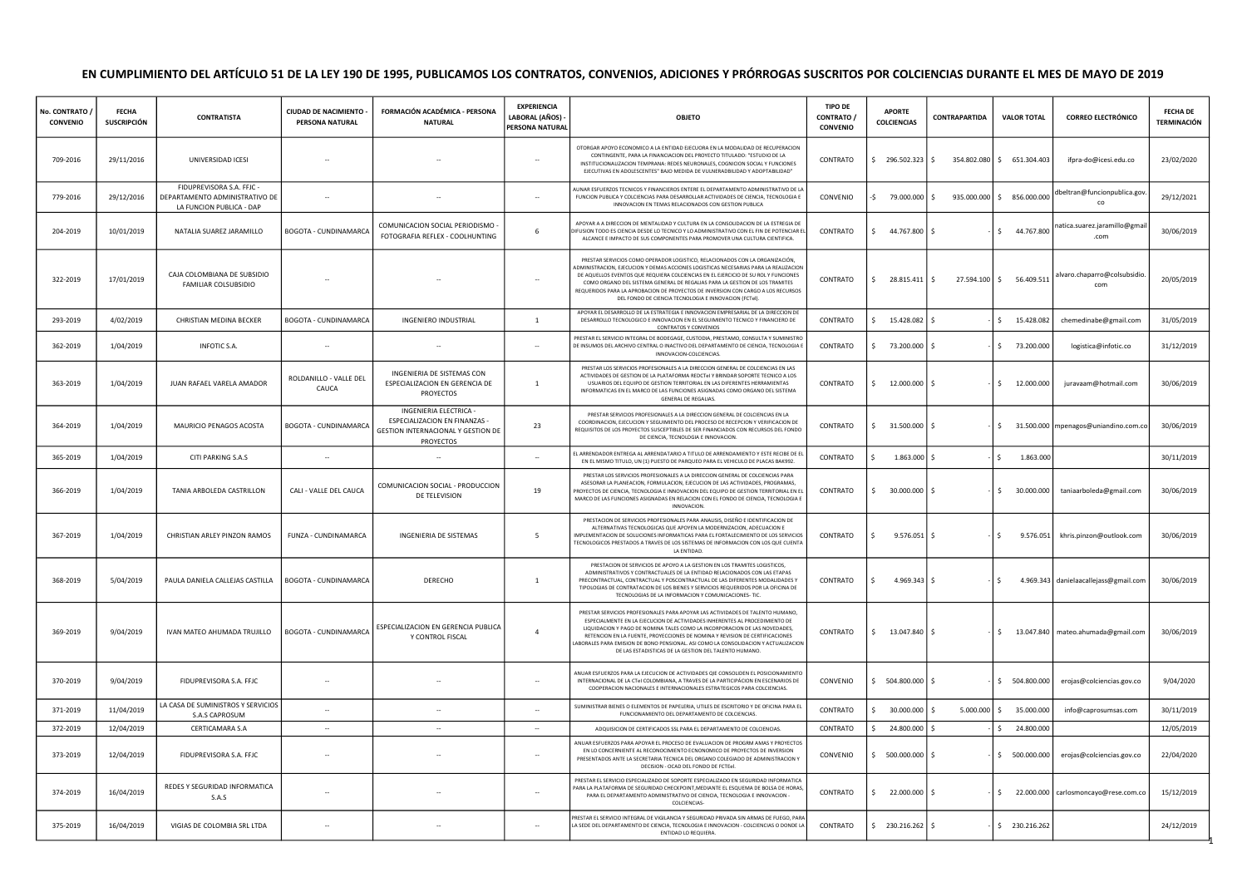## EN CUMPLIMIENTO DEL ARTÍCULO 51 DE LA LEY 190 DE 1995, PUBLICAMOS LOS CONTRATOS, CONVENIOS, ADICIONES Y PRÓRROGAS SUSCRITOS POR COLCIENCIAS DURANTE EL MES DE MAYO DE 2019

| No. CONTRATO<br><b>CONVENIO</b> | <b>FECHA</b><br><b>SUSCRIPCIÓN</b> | <b>CONTRATISTA</b>                                                                      | CIUDAD DE NACIMIENTO<br>PERSONA NATURAL | FORMACIÓN ACADÉMICA - PERSONA<br><b>NATURAL</b>                                                            | <b>EXPERIENCIA</b><br>LABORAL (AÑOS)<br>PERSONA NATURAL | <b>OBJETO</b>                                                                                                                                                                                                                                                                                                                                                                                                                                                                          | <b>TIPO DE</b><br>CONTRATO /<br><b>CONVENIO</b> | <b>APORTE</b><br><b>COLCIENCIAS</b> | CONTRAPARTIDA | <b>VALOR TOTAL</b>         | <b>CORREO ELECTRÓNICO</b>               | <b>FECHA DE</b><br><b>TERMINACIÓN</b> |
|---------------------------------|------------------------------------|-----------------------------------------------------------------------------------------|-----------------------------------------|------------------------------------------------------------------------------------------------------------|---------------------------------------------------------|----------------------------------------------------------------------------------------------------------------------------------------------------------------------------------------------------------------------------------------------------------------------------------------------------------------------------------------------------------------------------------------------------------------------------------------------------------------------------------------|-------------------------------------------------|-------------------------------------|---------------|----------------------------|-----------------------------------------|---------------------------------------|
| 709-2016                        | 29/11/2016                         | UNIVERSIDAD ICESI                                                                       |                                         |                                                                                                            | $\sim$                                                  | OTORGAR APOYO ECONOMICO A LA ENTIDAD EJECUORA EN LA MODALIDAD DE RECUPERACION<br>CONTINGENTE, PARA LA FINANCIACION DEL PROYECTO TITULADO: "ESTUDIO DE LA<br>INSTITUCIONALIZACION TEMPRANA: REDES NEURONALES, COGNICION SOCIAL Y FUNCIONES<br>EJECUTIVAS EN ADOLESCENTES" BAJO MEDIDA DE VULNERADBILIDAD Y ADOPTABILIDAD"                                                                                                                                                               | CONTRATO                                        | \$296.502.323                       | $\sim$        | 354.802.080 \$ 651.304.403 | ifpra-do@icesi.edu.co                   | 23/02/2020                            |
| 779-2016                        | 29/12/2016                         | FIDUPREVISORA S.A. FFJC -<br>DEPARTAMENTO ADMINISTRATIVO DE<br>LA FUNCION PUBLICA - DAP |                                         |                                                                                                            | $\sim$                                                  | UNAR ESFUERZOS TECNICOS Y FINANCIEROS ENTERE EL DEPARTAMENTO ADMINISTRATIVO DE L<br>FUNCION PUBLICA Y COLCIENCIAS PARA DESARROLLAR ACTIVIDADES DE CIENCIA, TECNOLOGIA E<br>INNOVACION EN TEMAS RELACIONADOS CON GESTION PUBLICA                                                                                                                                                                                                                                                        | CONVENIO                                        | 79.000.000 \$<br>-\$                |               | 935.000.000 \$ 856.000.000 | dbeltran@funcionpublica.gov.<br>co      | 29/12/2021                            |
| 204-2019                        | 10/01/2019                         | NATALIA SUAREZ JARAMILLO                                                                | BOGOTA - CUNDINAMARCA                   | COMUNICACION SOCIAL PERIODISMO -<br>FOTOGRAFIA REFLEX - COOLHUNTING                                        | 6                                                       | APOYAR A A DIRECCION DE MENTALIDAD Y CULTURA EN LA CONSOLIDACION DE LA ESTREGIA DE<br>IFUSION TODO ES CIENCIA DESDE LO TECNICO Y LO ADMINISTRATIVO CON EL FIN DE POTENCIAR E<br>ALCANCE E IMPACTO DE SUS COMPONENTES PARA PROMOVER UNA CULTURA CIENTIFICA.                                                                                                                                                                                                                             | CONTRATO                                        | Ŝ.<br>44.767.800 \$                 |               | \$44.767.800               | natica.suarez.jaramillo@gmai            | 30/06/2019                            |
| 322-2019                        | 17/01/2019                         | CAJA COLOMBIANA DE SUBSIDIO<br>FAMILIAR COLSUBSIDIO                                     |                                         |                                                                                                            |                                                         | PRESTAR SERVICIOS COMO OPERADOR LOGISTICO, RELACIONADOS CON LA ORGANIZACIÓN.<br>ADMINISTRACION. EJECUCION Y DEMAS ACCIONES LOGISTICAS NECESARIAS PARA LA REALIZACIOI<br>DE AQUELLOS EVENTOS QUE REQUIERA COLCIENCIAS EN EL EJERCICIO DE SU ROL Y EUNCIONES<br>COMO ORGANO DEL SISTEMA GENERAL DE REGALIAS PARA LA GESTION DE LOS TRAMITES<br>REQUERIDOS PARA LA APROBACION DE PROYECTOS DE INVERSION CON CARGO A LOS RECURSOS<br>DEL FONDO DE CIENCIA TECNOLOGIA E INNOVACION (FCTel). | CONTRATO                                        | 28.815.411                          | $\hat{S}$     | 27.594.100 \$ 56.409.511   | alvaro.chaparro@colsubsidio.<br>com     | 20/05/2019                            |
| 293-2019                        | 4/02/2019                          | CHRISTIAN MEDINA BECKER                                                                 | BOGOTA - CUNDINAMARCA                   | <b>INGENIERO INDUSTRIAL</b>                                                                                | <sup>1</sup>                                            | APOVAR EL DESARROLLO DE LA ESTRATEGIA E INNOVACION EMPRESARIAL DE LA DIRECCIÓN DE<br>DESARROLLO TECNOLOGICO E INNOVACION EN EL SEGUIMIENTO TECNICO Y FINANCIERO DE<br>CONTRATOS Y CONVENIOS                                                                                                                                                                                                                                                                                            | CONTRATO                                        | 15.428.082<br>Ŝ.                    | S.            | 15.428.082<br>Ŝ.           | chemedinabe@gmail.com                   | 31/05/2019                            |
| 362-2019                        | 1/04/2019                          | <b>INFOTIC S.A.</b>                                                                     |                                         |                                                                                                            | $\sim$                                                  | PRESTAR EL SERVICIO INTEGRAL DE BODEGAGE, CUSTODIA, PRESTAMO, CONSULTA Y SUMINISTR<br>DE INSUMOS DEL ARCHIVO CENTRAL O INACTIVO DEL DEPARTAMENTO DE CIENCIA, TECNOLOGIA<br>INNOVACION-COLCIENCIAS.                                                                                                                                                                                                                                                                                     | CONTRATO                                        | 73.200.000 \$                       |               | 73.200.000<br>Ś.           | logistica@infotic.co                    | 31/12/2019                            |
| 363-2019                        | 1/04/2019                          | JUAN RAFAEL VARELA AMADOR                                                               | ROLDANILLO - VALLE DEL<br>CAUCA         | INGENIERIA DE SISTEMAS CON<br>ESPECIALIZACION EN GERENCIA DE<br>PROYECTOS                                  | $\mathbf{1}$                                            | PRESTAR LOS SERVICIOS PROFESIONALES A LA DIRECCION GENERAL DE COLCIENCIAS EN LAS<br>ACTIVIDADES DE GESTION DE LA PLATAFORMA REDCTeI Y BRINDAR SOPORTE TECNICO A LOS<br>USUARIOS DEL EQUIPO DE GESTION TERRITORIAL EN LAS DIFERENTES HERRAMIENTAS<br>INFORMATICAS EN EL MARCO DE LAS FUNCIONES ASIGNADAS COMO ORGANO DEL SISTEMA<br><b>GENERAL DE REGALIAS</b>                                                                                                                          | CONTRATO                                        | 12.000.000 \$                       |               | \$<br>12.000.000           | juravaam@hotmail.com                    | 30/06/2019                            |
| 364-2019                        | 1/04/2019                          | MAURICIO PENAGOS ACOSTA                                                                 | BOGOTA - CUNDINAMARCA                   | INGENIERIA ELECTRICA -<br>ESPECIALIZACION EN FINANZAS -<br>GESTION INTERNACIONAL Y GESTION DE<br>PROYECTOS | 23                                                      | PRESTAR SERVICIOS PROFESIONALES A LA DIRECCION GENERAL DE COLCIENCIAS EN LA<br>COORDINACION. EJECUCION Y SEGUIMIENTO DEL PROCESO DE RECEPCION Y VERIFICACION DE<br>REQUISITOS DE LOS PROYECTOS SUSCEPTIBLES DE SER FINANCIADOS CON RECURSOS DEL FONDO<br>DE CIENCIA, TECNOLOGIA E INNOVACION.                                                                                                                                                                                          | CONTRATO                                        | 31.500.000 \$                       |               |                            | \$ 31.500.000 mpenagos@uniandino.com.co | 30/06/2019                            |
| 365-2019                        | 1/04/2019                          | CITI PARKING S.A.S                                                                      | $\overline{\phantom{a}}$                | $\sim$                                                                                                     | $\sim$                                                  | EL ARRENDADOR ENTREGA AL ARRENDATARIO A TITULO DE ARRENDAMIENTO Y ESTE RECIBE DE E<br>EN EL MISMO TITULO, UN (1) PUESTO DE PARQUEO PARA EL VEHICULO DE PLACAS BAK992.                                                                                                                                                                                                                                                                                                                  | CONTRATO                                        | $1.863.000$ \$                      |               | Ŝ.<br>1.863.000            |                                         | 30/11/2019                            |
| 366-2019                        | 1/04/2019                          | TANIA ARBOLEDA CASTRILLON                                                               | CALI - VALLE DEL CAUCA                  | COMUNICACION SOCIAL - PRODUCCION<br>DE TELEVISION                                                          | 19                                                      | PRESTAR LOS SERVICIOS PROFESIONALES A LA DIRECCION GENERAL DE COLCIENCIAS PARA<br>ASESORAR LA PLANEACIÓN, FORMULACIÓN, EJECUCIÓN DE LAS ACTIVIDADES, PROGRAMAS<br>PROYECTOS DE CIENCIA, TECNOLOGIA E INNOVACION DEL EQUIPO DE GESTION TERRITORIAL EN EL<br>MARCO DE LAS FUNCIONES ASIGNADAS EN RELACION CON EL FONDO DE CIENCIA, TECNOLOGIA E<br>INNOVACION.                                                                                                                           | CONTRATO                                        | 30.000.000 \$                       |               | $\hat{S}$<br>30.000.000    | taniaarboleda@gmail.com                 | 30/06/2019                            |
| 367-2019                        | 1/04/2019                          | CHRISTIAN ARLEY PINZON RAMOS                                                            | FUNZA - CUNDINAMARCA                    | INGENIERIA DE SISTEMAS                                                                                     | 5                                                       | PRESTACION DE SERVICIOS PROFESIONALES PARA ANALISIS, DISEÑO E IDENTIFICACION DE<br>ALTERNATIVAS TECNOLOGICAS QUE APOYEN LA MODERNIZACION, ADECUACION E<br>MPLEMENTACION DE SOLUCIONES INFORMATICAS PARA EL FORTALECIMIENTO DE LOS SERVICIO!<br><b>FECNOLOGICOS PRESTADOS A TRAVES DE LOS SISTEMAS DE INFORMACION CON LOS QUE CUENTA</b><br>LA ENTIDAD.                                                                                                                                 | CONTRATO                                        | $9.576.051$ \$                      |               | $\sim$<br>9.576.051        | khris.pinzon@outlook.com                | 30/06/2019                            |
| 368-2019                        | 5/04/2019                          | PAULA DANIELA CALLEJAS CASTILLA                                                         | BOGOTA - CUNDINAMARCA                   | DERECHO                                                                                                    | 1                                                       | PRESTACION DE SERVICIOS DE APOYO A LA GESTION EN LOS TRAMITES LOGISTICOS,<br>ADMINISTRATIVOS Y CONTRACTUALES DE LA ENTIDAD RELACIONADOS CON LAS ETAPAS<br>PRECONTRACTUAL, CONTRACTUAL Y POSCONTRACTUAL DE LAS DIFERENTES MODALIDADES Y<br>TIPOLOGIAS DE CONTRATACION DE LOS BIENES Y SERVICIOS REQUERIDOS POR LA OFICINA DE<br>TECNOLOGIAS DE LA INFORMACION Y COMUNICACIONES- TIC.                                                                                                    | CONTRATO                                        | $4.969.343$ \$                      |               | Ŝ.                         | 4.969.343 danielaacallejass@gmail.com   | 30/06/2019                            |
| 369-2019                        | 9/04/2019                          | IVAN MATEO AHUMADA TRUJILLO                                                             | <b>BOGOTA - CUNDINAMARCA</b>            | ESPECIALIZACION EN GERENCIA PUBLICA<br>Y CONTROL FISCAL                                                    | $\overline{4}$                                          | PRESTAR SERVICIOS PROFESIONALES PARA APOYAR LAS ACTIVIDADES DE TALENTO HUMANO<br>ESPECIALMENTE EN LA EJECUCION DE ACTIVIDADES INHERENTES AL PROCEDIMIENTO DE<br>LIQUIDACION Y PAGO DE NOMINA TALES COMO LA INCORPORACION DE LAS NOVEDADES,<br>RETENCION EN LA FUENTE, PROYECCIONES DE NOMINA Y REVISION DE CERTIFICACIONES<br>ABORALES PARA EMISION DE BONO PENSIONAL. ASI COMO LA CONSOLIDACION Y ACTUALIZACIOI<br>DE LAS ESTADISTICAS DE LA GESTION DEL TALENTO HUMANO.              | CONTRATO                                        | 13.047.840                          |               | Ŝ.                         | 13.047.840 mateo.ahumada@gmail.com      | 30/06/2019                            |
| 370-2019                        | 9/04/2019                          | FIDUPREVISORA S.A. FFJC                                                                 |                                         |                                                                                                            | $\overline{\phantom{a}}$                                | ANUAR ESFUERZOS PARA LA EJECUCION DE ACTIVIDADES QIE CONSOLIDEN EL POSICIONAMIENTO<br>INTERNACIONAL DE LA CTel COLOMBIANA. A TRAVES DE LA PARTICIPÁCION EN ESCENARIOS DE<br>COOPERACION NACIONALES E INTERNACIONALES ESTRATEGICOS PARA COLCIENCIAS.                                                                                                                                                                                                                                    | CONVENIO                                        | $$504.800.000$ \$                   |               | \$504.800.000              | erojas@colciencias.gov.co               | 9/04/2020                             |
| 371-2019                        | 11/04/2019                         | LA CASA DE SUMINISTROS Y SERVICIOS<br>S.A.S CAPROSUM                                    |                                         |                                                                                                            | $\sim$                                                  | SUMINISTRAR BIENES O ELEMENTOS DE PAPELERIA. UTILES DE ESCRITORIO Y DE OFICINA PARA E<br>FUNCIONAMIENTO DEL DEPARTAMENTO DE COLCIENCIAS.                                                                                                                                                                                                                                                                                                                                               | CONTRATO                                        | 30.000.000                          | 5.000.000     | $\mathsf{S}$<br>35.000.000 | info@caprosumsas.com                    | 30/11/2019                            |
| 372-2019                        | 12/04/2019                         | <b>CERTICAMARA S.A</b>                                                                  | $\sim$                                  | $\sim$                                                                                                     | $\sim$                                                  | ADQUISICION DE CERTIFICADOS SSL PARA EL DEPARTAMENTO DE COLCIENCIAS                                                                                                                                                                                                                                                                                                                                                                                                                    | CONTRATO                                        | 24.800.000                          |               | Ŝ.<br>24.800.000           |                                         | 12/05/2019                            |
| 373-2019                        | 12/04/2019                         | FIDUPREVISORA S.A. FFJC                                                                 |                                         |                                                                                                            | $\sim$                                                  | ANUAR ESFUERZOS PARA APOYAR EL PROCESO DE EVALUACION DE PROGRM AMAS Y PROYECTOS<br>EN LO CONCERNIENTE AL RECONOCIMIENTO ECNONOMICO DE PROYECTOS DE INVERSION<br>PRESENTADOS ANTE LA SECRETARIA TECNICA DEL ORGANO COLEGIADO DE ADMINISTRACION Y<br>DECISION - OCAD DEL FONDO DE FCTEel.                                                                                                                                                                                                | CONVENIO                                        | 500.000.000 \$<br>s.                |               | \$500.000.000]             | erojas@colciencias.gov.co               | 22/04/2020                            |
| 374-2019                        | 16/04/2019                         | REDES Y SEGURIDAD INFORMATICA<br>S.A.S                                                  |                                         |                                                                                                            |                                                         | PRESTAR EL SERVICIO ESPECIALIZADO DE SOPORTE ESPECIALIZADO EN SEGURIDAD INFORMATICA<br>PARA LA PLATAFORMA DE SEGURIDAD CHECKPOINT.MEDIANTE EL ESQUEMA DE BOLSA DE HORAS<br>PARA EL DEPARTAMENTO ADMINISTRATIVO DE CIENCIA, TECNOLOGIA E INNOVACION<br>COLCIENCIAS-                                                                                                                                                                                                                     | CONTRATO                                        | 22.000.000                          |               | Ŝ.                         | 22.000.000   carlosmoncayo@rese.com.co  | 15/12/2019                            |
| 375-2019                        | 16/04/2019                         | VIGIAS DE COLOMBIA SRL LTDA                                                             |                                         |                                                                                                            |                                                         | PRESTAR EL SERVICIO INTEGRAL DE VIGILANCIA Y SEGURIDAD PRIVADA SIN ARMAS DE FUEGO, PARA<br>LA SEDE DEL DEPARTAMENTO DE CIENCIA, TECNOLOGIA E INNOVACION - COLCIENCIAS O DONDE LA<br>ENTIDAD LO REQUIERA.                                                                                                                                                                                                                                                                               | CONTRATO                                        | $\frac{230.216.262}{5}$             |               | \$230.216.262              |                                         | 24/12/2019                            |

1